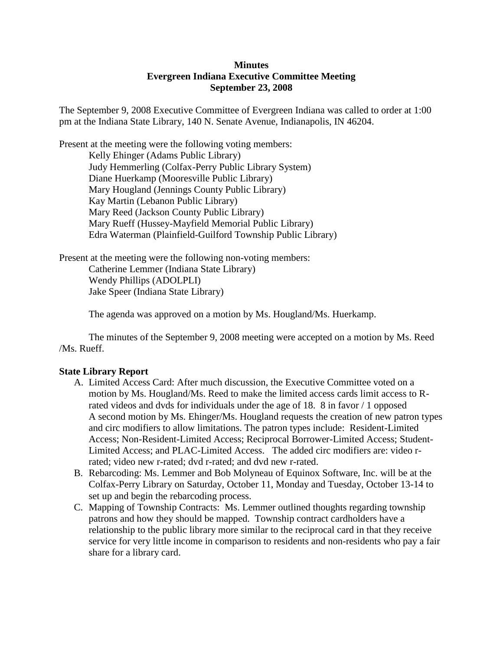## **Minutes Evergreen Indiana Executive Committee Meeting September 23, 2008**

The September 9, 2008 Executive Committee of Evergreen Indiana was called to order at 1:00 pm at the Indiana State Library, 140 N. Senate Avenue, Indianapolis, IN 46204.

Present at the meeting were the following voting members: Kelly Ehinger (Adams Public Library) Judy Hemmerling (Colfax-Perry Public Library System) Diane Huerkamp (Mooresville Public Library) Mary Hougland (Jennings County Public Library) Kay Martin (Lebanon Public Library) Mary Reed (Jackson County Public Library) Mary Rueff (Hussey-Mayfield Memorial Public Library) Edra Waterman (Plainfield-Guilford Township Public Library)

Present at the meeting were the following non-voting members: Catherine Lemmer (Indiana State Library) Wendy Phillips (ADOLPLI) Jake Speer (Indiana State Library)

The agenda was approved on a motion by Ms. Hougland/Ms. Huerkamp.

The minutes of the September 9, 2008 meeting were accepted on a motion by Ms. Reed /Ms. Rueff.

## **State Library Report**

- A. Limited Access Card: After much discussion, the Executive Committee voted on a motion by Ms. Hougland/Ms. Reed to make the limited access cards limit access to Rrated videos and dvds for individuals under the age of 18. 8 in favor / 1 opposed A second motion by Ms. Ehinger/Ms. Hougland requests the creation of new patron types and circ modifiers to allow limitations. The patron types include: Resident-Limited Access; Non-Resident-Limited Access; Reciprocal Borrower-Limited Access; Student-Limited Access; and PLAC-Limited Access. The added circ modifiers are: video rrated; video new r-rated; dvd r-rated; and dvd new r-rated.
- B. Rebarcoding: Ms. Lemmer and Bob Molyneau of Equinox Software, Inc. will be at the Colfax-Perry Library on Saturday, October 11, Monday and Tuesday, October 13-14 to set up and begin the rebarcoding process.
- C. Mapping of Township Contracts: Ms. Lemmer outlined thoughts regarding township patrons and how they should be mapped. Township contract cardholders have a relationship to the public library more similar to the reciprocal card in that they receive service for very little income in comparison to residents and non-residents who pay a fair share for a library card.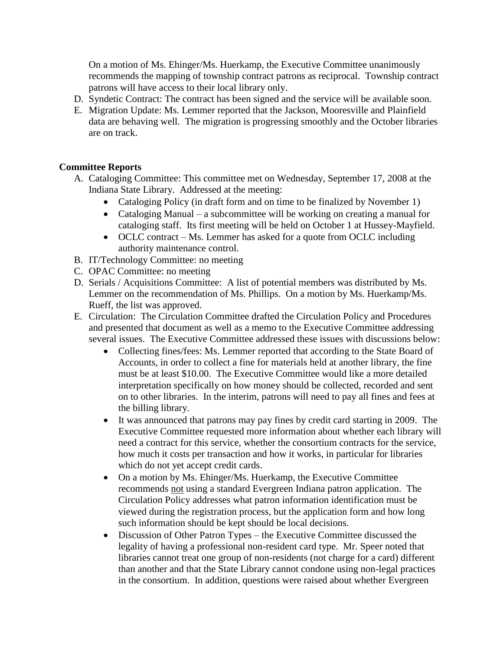On a motion of Ms. Ehinger/Ms. Huerkamp, the Executive Committee unanimously recommends the mapping of township contract patrons as reciprocal. Township contract patrons will have access to their local library only.

- D. Syndetic Contract: The contract has been signed and the service will be available soon.
- E. Migration Update: Ms. Lemmer reported that the Jackson, Mooresville and Plainfield data are behaving well. The migration is progressing smoothly and the October libraries are on track.

## **Committee Reports**

- A. Cataloging Committee: This committee met on Wednesday, September 17, 2008 at the Indiana State Library. Addressed at the meeting:
	- Cataloging Policy (in draft form and on time to be finalized by November 1)
	- Cataloging Manual a subcommittee will be working on creating a manual for cataloging staff. Its first meeting will be held on October 1 at Hussey-Mayfield.
	- OCLC contract Ms. Lemmer has asked for a quote from OCLC including authority maintenance control.
- B. IT/Technology Committee: no meeting
- C. OPAC Committee: no meeting
- D. Serials / Acquisitions Committee: A list of potential members was distributed by Ms. Lemmer on the recommendation of Ms. Phillips. On a motion by Ms. Huerkamp/Ms. Rueff, the list was approved.
- E. Circulation: The Circulation Committee drafted the Circulation Policy and Procedures and presented that document as well as a memo to the Executive Committee addressing several issues. The Executive Committee addressed these issues with discussions below:
	- Collecting fines/fees: Ms. Lemmer reported that according to the State Board of Accounts, in order to collect a fine for materials held at another library, the fine must be at least \$10.00. The Executive Committee would like a more detailed interpretation specifically on how money should be collected, recorded and sent on to other libraries. In the interim, patrons will need to pay all fines and fees at the billing library.
	- It was announced that patrons may pay fines by credit card starting in 2009. The Executive Committee requested more information about whether each library will need a contract for this service, whether the consortium contracts for the service, how much it costs per transaction and how it works, in particular for libraries which do not yet accept credit cards.
	- On a motion by Ms. Ehinger/Ms. Huerkamp, the Executive Committee recommends not using a standard Evergreen Indiana patron application. The Circulation Policy addresses what patron information identification must be viewed during the registration process, but the application form and how long such information should be kept should be local decisions.
	- Discussion of Other Patron Types the Executive Committee discussed the legality of having a professional non-resident card type. Mr. Speer noted that libraries cannot treat one group of non-residents (not charge for a card) different than another and that the State Library cannot condone using non-legal practices in the consortium. In addition, questions were raised about whether Evergreen